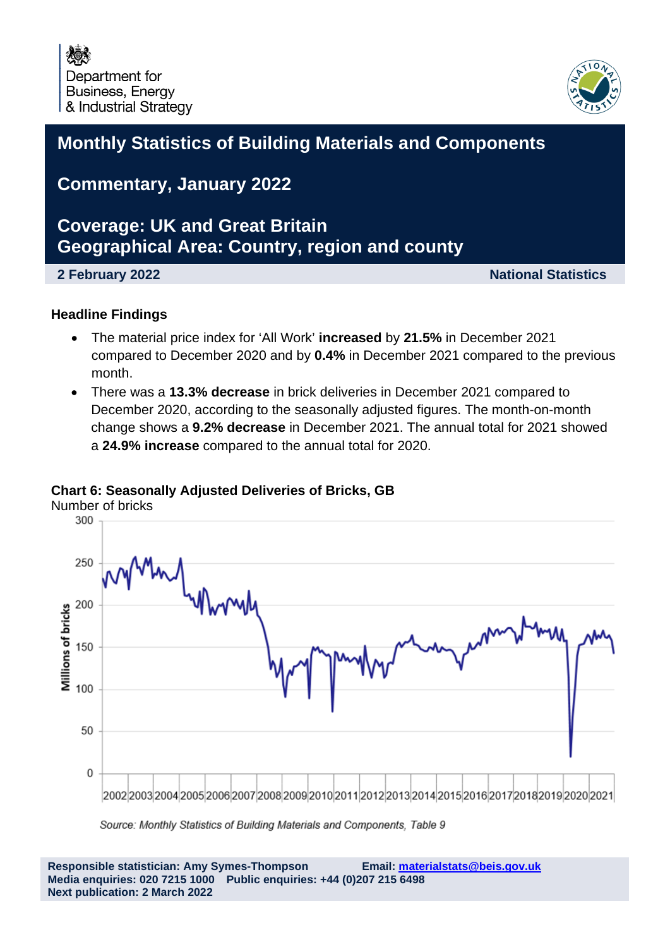

### **Monthly Statistics of Building Materials and Components**

### **Commentary, January 2022**

### **Coverage: UK and Great Britain Geographical Area: Country, region and county**

**2 February 2022 National Statistics**

#### **Headline Findings**

- The material price index for 'All Work' **increased** by **21.5%** in December 2021 compared to December 2020 and by **0.4%** in December 2021 compared to the previous month.
- There was a **13.3% decrease** in brick deliveries in December 2021 compared to December 2020, according to the seasonally adjusted figures. The month-on-month change shows a **9.2% decrease** in December 2021. The annual total for 2021 showed a **24.9% increase** compared to the annual total for 2020.

#### **Chart 6: Seasonally Adjusted Deliveries of Bricks, GB**



Source: Monthly Statistics of Building Materials and Components, Table 9

**Responsible statistician: Amy Symes-Thompson Email: [materialstats@beis.gov.uk](mailto:materialstats@beis.gov.uk) Media enquiries: 020 7215 1000 Public enquiries: +44 (0)207 215 6498 Next publication: 2 March 2022**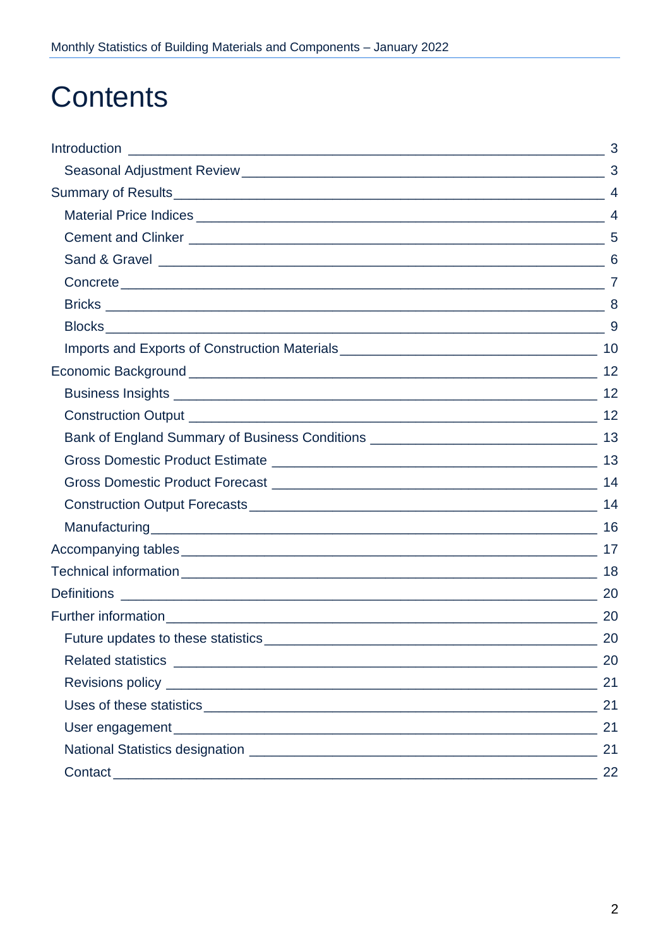## **Contents**

| Bank of England Summary of Business Conditions __________________________________ 13 |     |
|--------------------------------------------------------------------------------------|-----|
|                                                                                      |     |
|                                                                                      |     |
|                                                                                      |     |
|                                                                                      |     |
|                                                                                      |     |
|                                                                                      | 18  |
|                                                                                      |     |
|                                                                                      | -20 |
| Future updates to these statistics                                                   | 20  |
|                                                                                      | 20  |
|                                                                                      | 21  |
|                                                                                      | 21  |
|                                                                                      | 21  |
|                                                                                      | 21  |
|                                                                                      | 22  |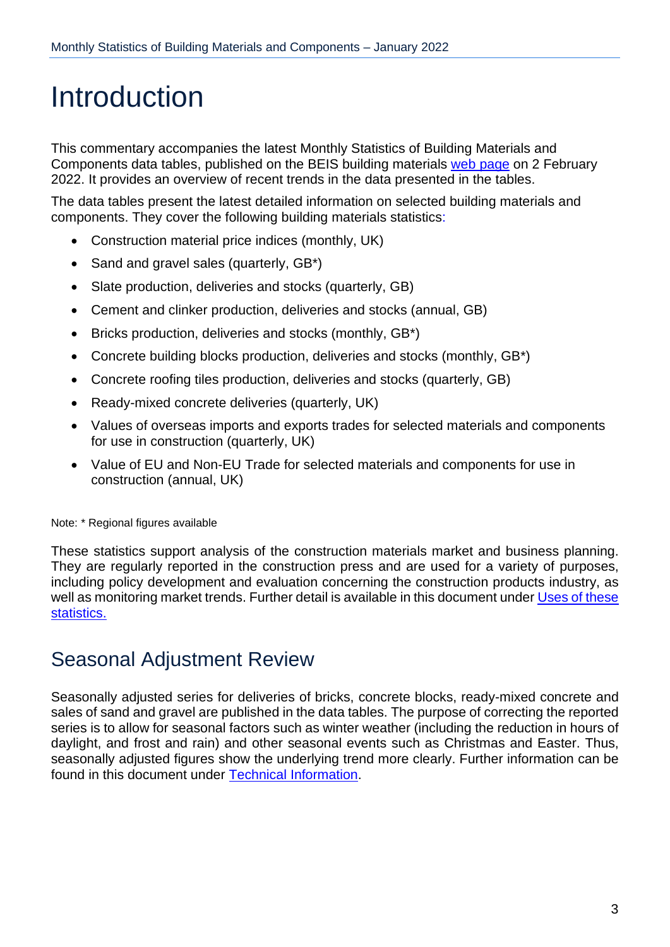## <span id="page-2-0"></span>Introduction

This commentary accompanies the latest Monthly Statistics of Building Materials and Components data tables, published on the BEIS building materials web [page](https://www.gov.uk/government/organisations/department-for-business-innovation-skills/series/building-materials-and-components-monthly-statistics-2012) on 2 February 2022. It provides an overview of recent trends in the data presented in the tables.

The data tables present the latest detailed information on selected building materials and components. They cover the following building materials statistics:

- Construction material price indices (monthly, UK)
- Sand and gravel sales (quarterly, GB\*)
- Slate production, deliveries and stocks (quarterly, GB)
- Cement and clinker production, deliveries and stocks (annual, GB)
- Bricks production, deliveries and stocks (monthly, GB\*)
- Concrete building blocks production, deliveries and stocks (monthly, GB\*)
- Concrete roofing tiles production, deliveries and stocks (quarterly, GB)
- Ready-mixed concrete deliveries (quarterly, UK)
- Values of overseas imports and exports trades for selected materials and components for use in construction (quarterly, UK)
- Value of EU and Non-EU Trade for selected materials and components for use in construction (annual, UK)

Note: \* Regional figures available

These statistics support analysis of the construction materials market and business planning. They are regularly reported in the construction press and are used for a variety of purposes, including policy development and evaluation concerning the construction products industry, as well as monitoring market trends. Further detail is available in this document under [Uses of](#page-20-1) these [statistics.](#page-20-1)

### <span id="page-2-1"></span>Seasonal Adjustment Review

Seasonally adjusted series for deliveries of bricks, concrete blocks, ready-mixed concrete and sales of sand and gravel are published in the data tables. The purpose of correcting the reported series is to allow for seasonal factors such as winter weather (including the reduction in hours of daylight, and frost and rain) and other seasonal events such as Christmas and Easter. Thus, seasonally adjusted figures show the underlying trend more clearly. Further information can be found in this document under Technical [Information.](#page-17-0)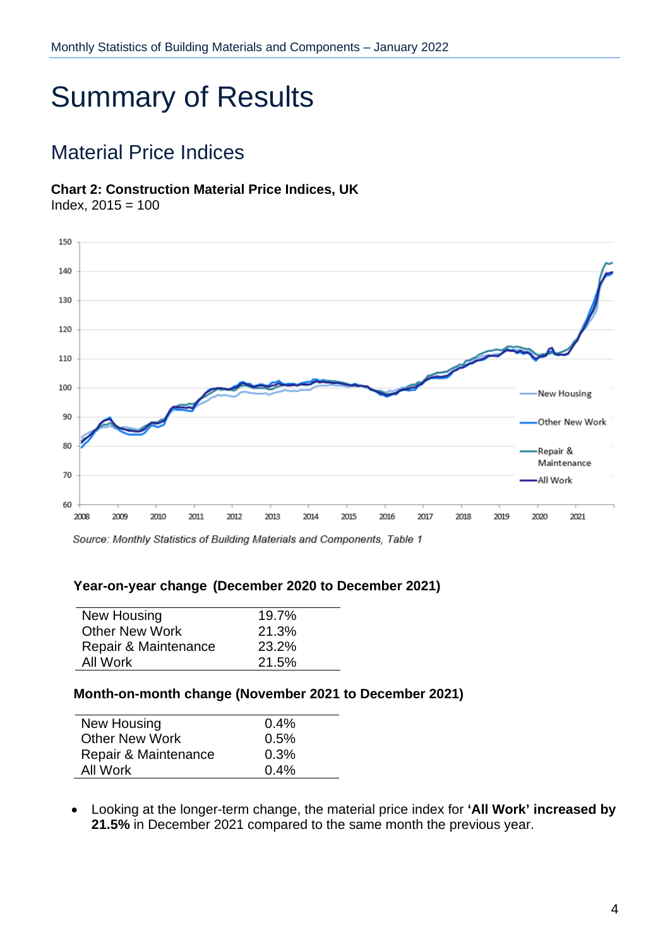# <span id="page-3-0"></span>Summary of Results

### <span id="page-3-1"></span>Material Price Indices

#### **Chart 2: Construction Material Price Indices, UK**

Index, 2015 = 100



Source: Monthly Statistics of Building Materials and Components, Table 1

#### **Year-on-year change (December 2020 to December 2021)**

| New Housing           | 19.7% |
|-----------------------|-------|
| <b>Other New Work</b> | 21.3% |
| Repair & Maintenance  | 23.2% |
| All Work              | 21.5% |
|                       |       |

#### **Month-on-month change (November 2021 to December 2021)**

| New Housing           | 0.4% |
|-----------------------|------|
| <b>Other New Work</b> | 0.5% |
| Repair & Maintenance  | 0.3% |
| All Work              | 0.4% |
|                       |      |

 Looking at the longer-term change, the material price index for **'All Work' increased by 21.5%** in December 2021 compared to the same month the previous year.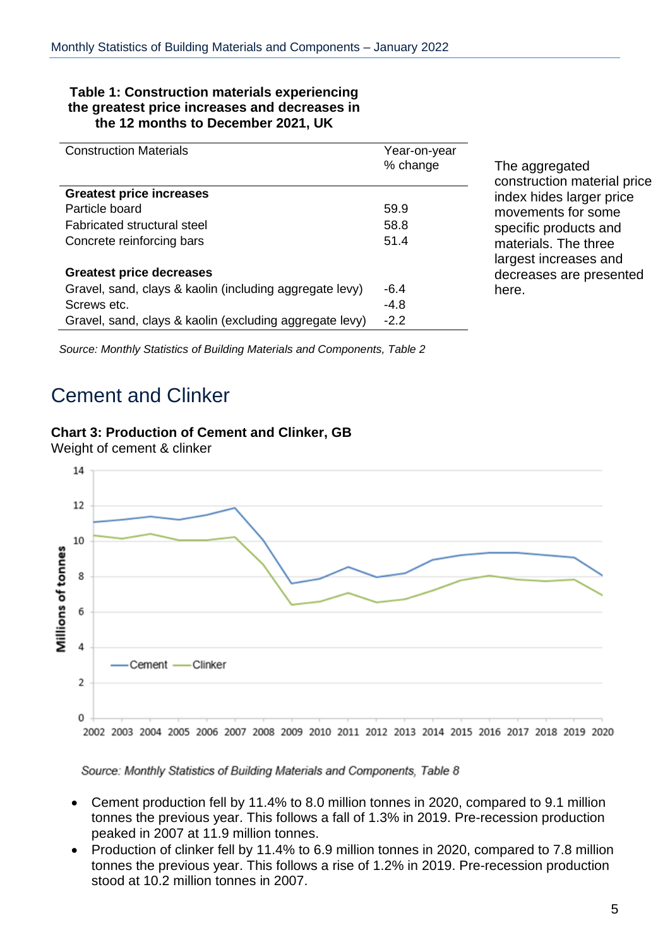#### **Table 1: Construction materials experiencing the greatest price increases and decreases in the 12 months to December 2021, UK**

| <b>Construction Materials</b>                           | Year-on-year<br>% change |
|---------------------------------------------------------|--------------------------|
| <b>Greatest price increases</b>                         |                          |
| Particle board                                          | 59.9                     |
| <b>Fabricated structural steel</b>                      | 58.8                     |
| Concrete reinforcing bars                               | 51.4                     |
| <b>Greatest price decreases</b>                         |                          |
| Gravel, sand, clays & kaolin (including aggregate levy) | $-6.4$                   |
| Screws etc.                                             | $-4.8$                   |
| Gravel, sand, clays & kaolin (excluding aggregate levy) | $-2.2$                   |

The aggregated construction material price index hides larger price movements for some specific products and materials. The three largest increases and decreases are presented here.

*Source: Monthly Statistics of Building Materials and Components, Table 2*

### <span id="page-4-0"></span>Cement and Clinker

#### **Chart 3: Production of Cement and Clinker, GB**



Weight of cement & clinker

- Cement production fell by 11.4% to 8.0 million tonnes in 2020, compared to 9.1 million tonnes the previous year. This follows a fall of 1.3% in 2019. Pre-recession production peaked in 2007 at 11.9 million tonnes.
- Production of clinker fell by 11.4% to 6.9 million tonnes in 2020, compared to 7.8 million tonnes the previous year. This follows a rise of 1.2% in 2019. Pre-recession production stood at 10.2 million tonnes in 2007.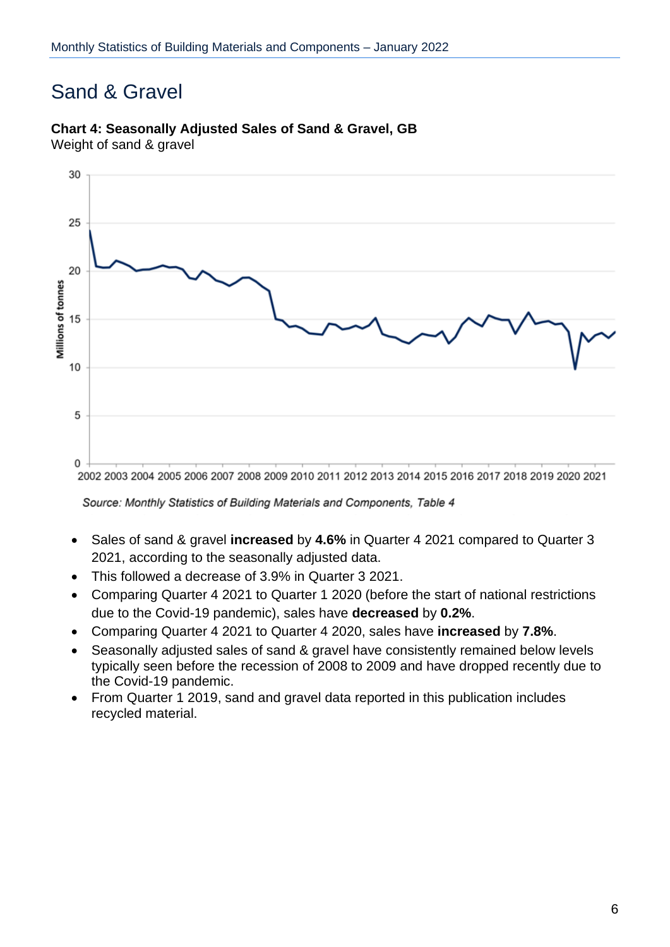### <span id="page-5-0"></span>Sand & Gravel

### **Chart 4: Seasonally Adjusted Sales of Sand & Gravel, GB**

Weight of sand & gravel

![](_page_5_Figure_4.jpeg)

- Sales of sand & gravel **increased** by **4.6%** in Quarter 4 2021 compared to Quarter 3 2021, according to the seasonally adjusted data.
- This followed a decrease of 3.9% in Quarter 3 2021.
- Comparing Quarter 4 2021 to Quarter 1 2020 (before the start of national restrictions due to the Covid-19 pandemic), sales have **decreased** by **0.2%**.
- Comparing Quarter 4 2021 to Quarter 4 2020, sales have **increased** by **7.8%**.
- Seasonally adjusted sales of sand & gravel have consistently remained below levels typically seen before the recession of 2008 to 2009 and have dropped recently due to the Covid-19 pandemic.
- From Quarter 1 2019, sand and gravel data reported in this publication includes recycled material.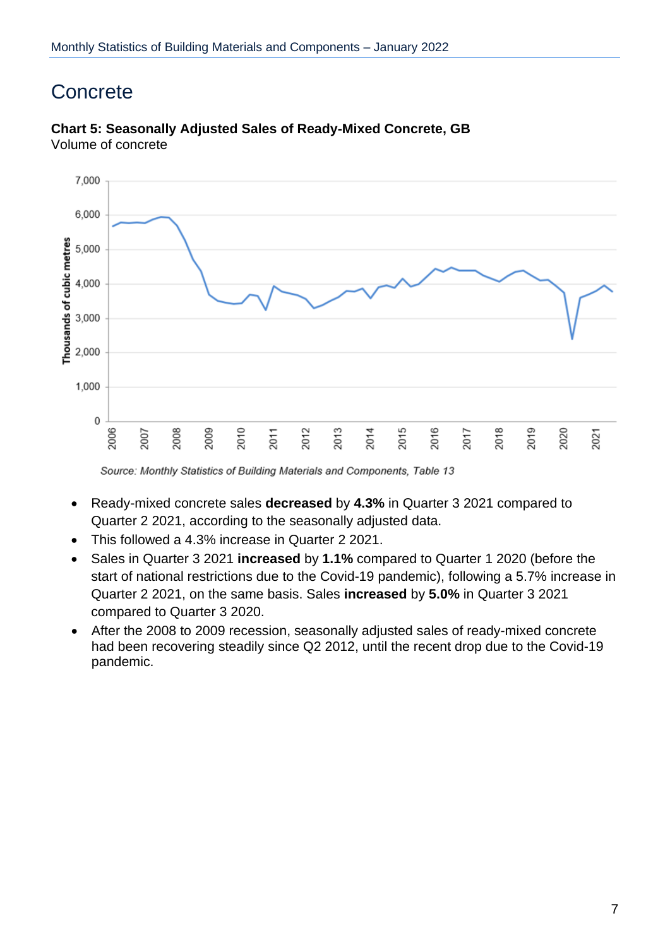### <span id="page-6-0"></span>**Concrete**

![](_page_6_Figure_2.jpeg)

#### **Chart 5: Seasonally Adjusted Sales of Ready-Mixed Concrete, GB** Volume of concrete

- Ready-mixed concrete sales **decreased** by **4.3%** in Quarter 3 2021 compared to Quarter 2 2021, according to the seasonally adjusted data.
- This followed a 4.3% increase in Quarter 2 2021.
- Sales in Quarter 3 2021 **increased** by **1.1%** compared to Quarter 1 2020 (before the start of national restrictions due to the Covid-19 pandemic), following a 5.7% increase in Quarter 2 2021, on the same basis. Sales **increased** by **5.0%** in Quarter 3 2021 compared to Quarter 3 2020.
- After the 2008 to 2009 recession, seasonally adjusted sales of ready-mixed concrete had been recovering steadily since Q2 2012, until the recent drop due to the Covid-19 pandemic.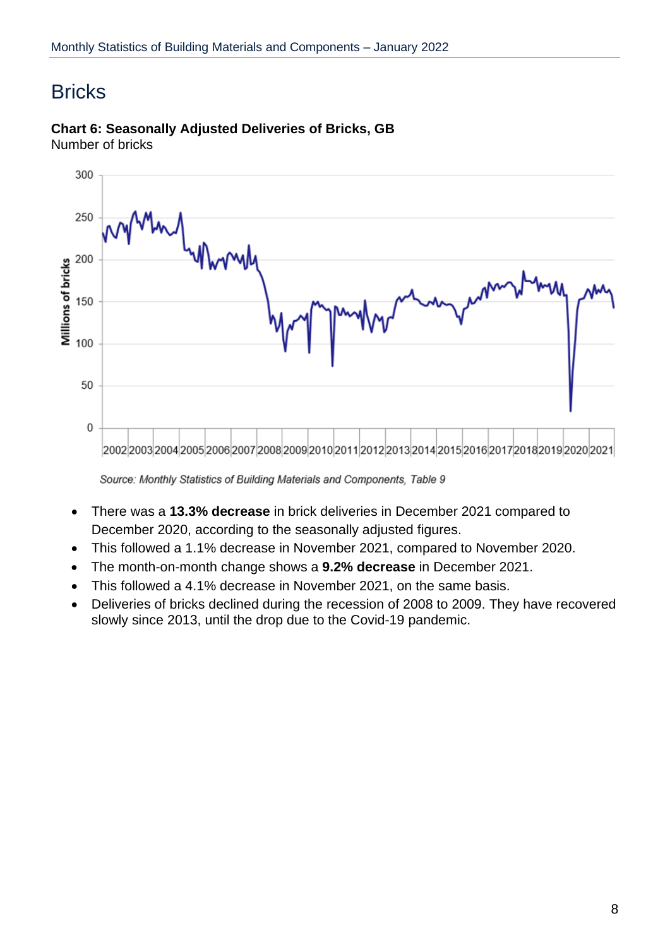### <span id="page-7-0"></span>**Bricks**

![](_page_7_Figure_2.jpeg)

#### **Chart 6: Seasonally Adjusted Deliveries of Bricks, GB** Number of bricks

- There was a **13.3% decrease** in brick deliveries in December 2021 compared to December 2020, according to the seasonally adjusted figures.
- This followed a 1.1% decrease in November 2021, compared to November 2020.
- The month-on-month change shows a **9.2% decrease** in December 2021.
- This followed a 4.1% decrease in November 2021, on the same basis.
- Deliveries of bricks declined during the recession of 2008 to 2009. They have recovered slowly since 2013, until the drop due to the Covid-19 pandemic.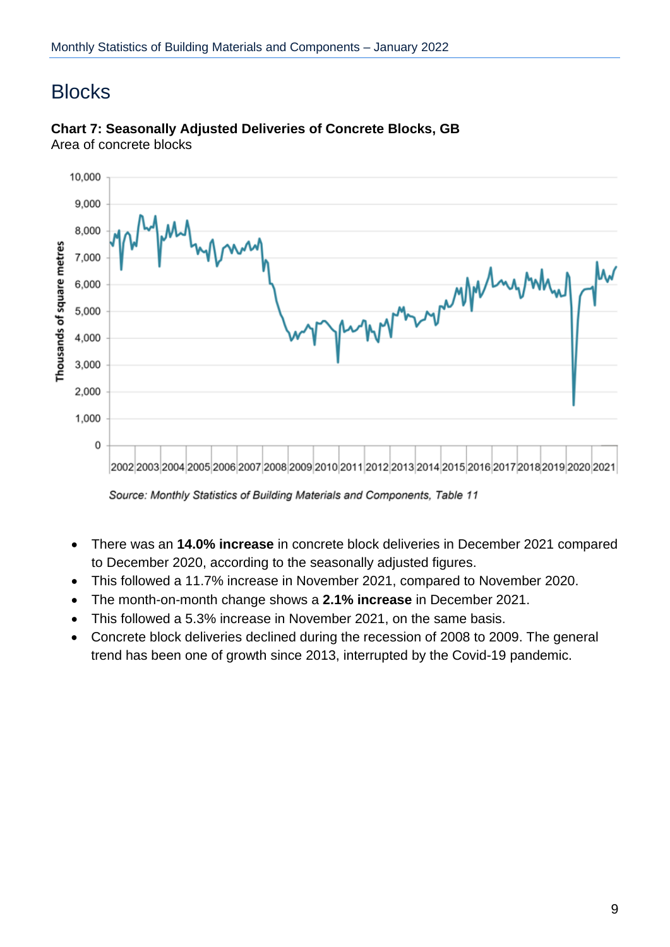### <span id="page-8-0"></span>**Blocks**

![](_page_8_Figure_2.jpeg)

#### **Chart 7: Seasonally Adjusted Deliveries of Concrete Blocks, GB** Area of concrete blocks

Source: Monthly Statistics of Building Materials and Components, Table 11

- There was an **14.0% increase** in concrete block deliveries in December 2021 compared to December 2020, according to the seasonally adjusted figures.
- This followed a 11.7% increase in November 2021, compared to November 2020.
- The month-on-month change shows a **2.1% increase** in December 2021.
- This followed a 5.3% increase in November 2021, on the same basis.
- Concrete block deliveries declined during the recession of 2008 to 2009. The general trend has been one of growth since 2013, interrupted by the Covid-19 pandemic.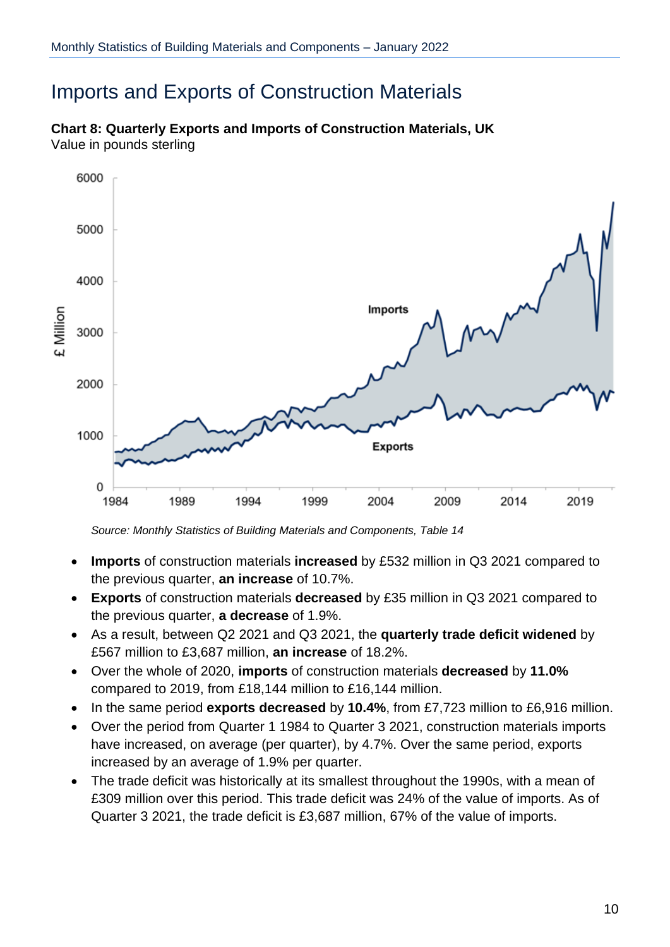### <span id="page-9-0"></span>Imports and Exports of Construction Materials

![](_page_9_Figure_2.jpeg)

**Chart 8: Quarterly Exports and Imports of Construction Materials, UK** Value in pounds sterling

- **Imports** of construction materials **increased** by £532 million in Q3 2021 compared to the previous quarter, **an increase** of 10.7%.
- **Exports** of construction materials **decreased** by £35 million in Q3 2021 compared to the previous quarter, **a decrease** of 1.9%.
- As a result, between Q2 2021 and Q3 2021, the **quarterly trade deficit widened** by £567 million to £3,687 million, **an increase** of 18.2%.
- Over the whole of 2020, **imports** of construction materials **decreased** by **11.0%** compared to 2019, from £18,144 million to £16,144 million.
- In the same period **exports decreased** by **10.4%**, from £7,723 million to £6,916 million.
- Over the period from Quarter 1 1984 to Quarter 3 2021, construction materials imports have increased, on average (per quarter), by 4.7%. Over the same period, exports increased by an average of 1.9% per quarter.
- The trade deficit was historically at its smallest throughout the 1990s, with a mean of £309 million over this period. This trade deficit was 24% of the value of imports. As of Quarter 3 2021, the trade deficit is £3,687 million, 67% of the value of imports.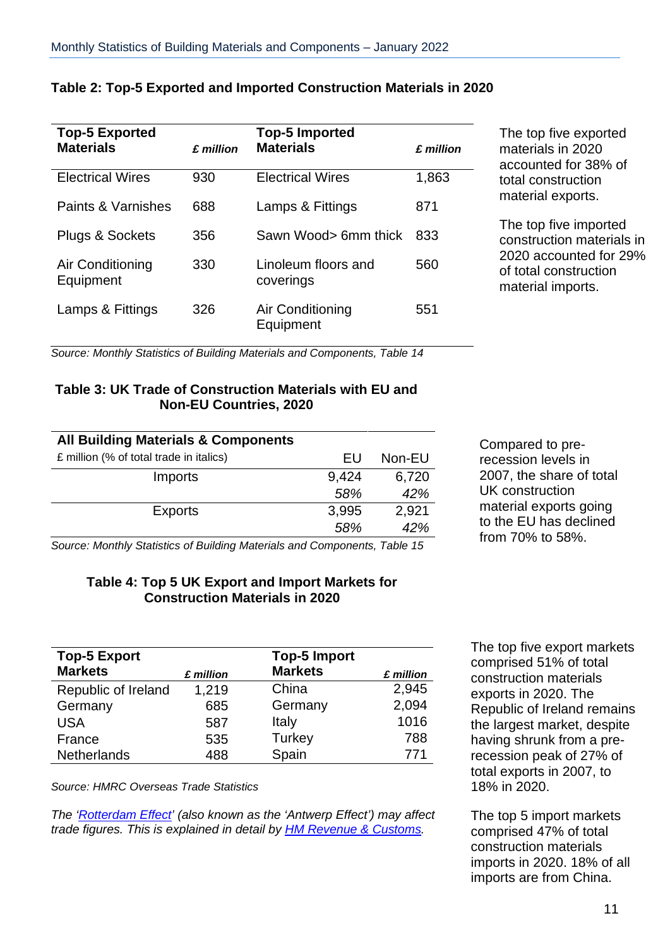| <b>Top-5 Exported</b><br><b>Materials</b> | £ million | <b>Top-5 Imported</b><br><b>Materials</b> | £ million |
|-------------------------------------------|-----------|-------------------------------------------|-----------|
| <b>Electrical Wires</b>                   | 930       | <b>Electrical Wires</b>                   | 1,863     |
| Paints & Varnishes                        | 688       | Lamps & Fittings                          | 871       |
| Plugs & Sockets                           | 356       | Sawn Wood> 6mm thick                      | 833       |
| Air Conditioning<br>Equipment             | 330       | Linoleum floors and<br>coverings          | 560       |
| Lamps & Fittings                          | 326       | Air Conditioning<br>Equipment             | 551       |

#### **Table 2: Top-5 Exported and Imported Construction Materials in 2020**

The top five exported materials in 2020 accounted for 38% of total construction material exports.

The top five imported construction materials in 2020 accounted for 29% of total construction material imports.

*Source: Monthly Statistics of Building Materials and Components, Table 14*

#### **Table 3: UK Trade of Construction Materials with EU and Non-EU Countries, 2020**

| <b>All Building Materials &amp; Components</b> |       |        |
|------------------------------------------------|-------|--------|
| £ million (% of total trade in italics)        | FU    | Non-EU |
| Imports                                        | 9,424 | 6,720  |
|                                                | 58%   | 42%    |
| <b>Exports</b>                                 | 3,995 | 2,921  |
|                                                | 58%   | 42%    |
|                                                |       |        |

Compared to prerecession levels in 2007, the share of total UK construction material exports going to the EU has declined from 70% to 58%.

*Source: Monthly Statistics of Building Materials and Components, Table 15*

#### **Table 4: Top 5 UK Export and Import Markets for Construction Materials in 2020**

| <b>Top-5 Export</b> |           | <b>Top-5 Import</b> |           |
|---------------------|-----------|---------------------|-----------|
| <b>Markets</b>      | £ million | <b>Markets</b>      | £ million |
| Republic of Ireland | 1,219     | China               | 2,945     |
| Germany             | 685       | Germany             | 2,094     |
| <b>USA</b>          | 587       | Italy               | 1016      |
| France              | 535       | Turkey              | 788       |
| <b>Netherlands</b>  | 488       | Spain               | 771       |

*Source: HMRC Overseas Trade Statistics*

*The ['Rotterdam](http://www.publications.parliament.uk/pa/ld200708/ldhansrd/text/81126w0010.htm#81126w0010.htm_spnew6) Effect' (also known as the 'Antwerp Effect') may affect trade figures. This is explained in detail by HM Revenue & [Customs.](https://www.uktradeinfo.com/statistics/noneuoverseastrade/aboutoverseastradestatistics/user%20support/edicom_rotterdam_effect_2005.pdf)*

The top five export markets comprised 51% of total construction materials exports in 2020. The Republic of Ireland remains the largest market, despite having shrunk from a prerecession peak of 27% of total exports in 2007, to 18% in 2020.

The top 5 import markets comprised 47% of total construction materials imports in 2020. 18% of all imports are from China.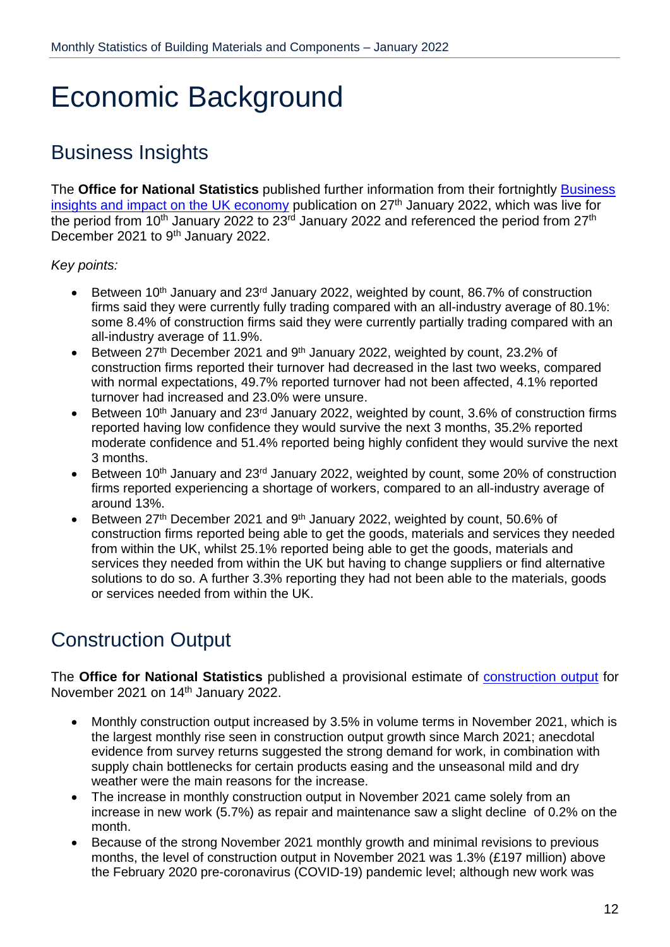# <span id="page-11-0"></span>Economic Background

### <span id="page-11-1"></span>Business Insights

The **Office for National Statistics** published further information from their fortnightly [Business](https://www.ons.gov.uk/businessindustryandtrade/business/businessservices/bulletins/businessinsightsandimpactontheukeconomy/27january2022)  [insights and impact on the UK economy](https://www.ons.gov.uk/businessindustryandtrade/business/businessservices/bulletins/businessinsightsandimpactontheukeconomy/27january2022) publication on  $27<sup>th</sup>$  January 2022, which was live for the period from 10<sup>th</sup> January 2022 to  $23^{\frac{1}{10}}$  January 2022 and referenced the period from 27<sup>th</sup> December 2021 to 9<sup>th</sup> January 2022.

*Key points:*

- Between 10<sup>th</sup> January and 23<sup>rd</sup> January 2022, weighted by count, 86.7% of construction firms said they were currently fully trading compared with an all-industry average of 80.1%: some 8.4% of construction firms said they were currently partially trading compared with an all-industry average of 11.9%.
- Extember 27<sup>th</sup> December 2021 and 9<sup>th</sup> January 2022, weighted by count, 23.2% of construction firms reported their turnover had decreased in the last two weeks, compared with normal expectations, 49.7% reported turnover had not been affected, 4.1% reported turnover had increased and 23.0% were unsure.
- Between 10<sup>th</sup> January and 23<sup>rd</sup> January 2022, weighted by count, 3.6% of construction firms reported having low confidence they would survive the next 3 months, 35.2% reported moderate confidence and 51.4% reported being highly confident they would survive the next 3 months.
- **Between 10<sup>th</sup> January and 23<sup>rd</sup> January 2022, weighted by count, some 20% of construction** firms reported experiencing a shortage of workers, compared to an all-industry average of around 13%.
- **Between 27th December 2021 and 9th January 2022, weighted by count, 50.6% of** construction firms reported being able to get the goods, materials and services they needed from within the UK, whilst 25.1% reported being able to get the goods, materials and services they needed from within the UK but having to change suppliers or find alternative solutions to do so. A further 3.3% reporting they had not been able to the materials, goods or services needed from within the UK.

### <span id="page-11-2"></span>Construction Output

The **Office for National Statistics** published a provisional estimate of [construction](https://www.ons.gov.uk/businessindustryandtrade/constructionindustry/bulletins/constructionoutputingreatbritain/november2021) output for November 2021 on 14th January 2022.

- Monthly construction output increased by 3.5% in volume terms in November 2021, which is the largest monthly rise seen in construction output growth since March 2021; anecdotal evidence from survey returns suggested the strong demand for work, in combination with supply chain bottlenecks for certain products easing and the unseasonal mild and dry weather were the main reasons for the increase.
- The increase in monthly construction output in November 2021 came solely from an increase in new work (5.7%) as repair and maintenance saw a slight decline of 0.2% on the month.
- Because of the strong November 2021 monthly growth and minimal revisions to previous months, the level of construction output in November 2021 was 1.3% (£197 million) above the February 2020 pre-coronavirus (COVID-19) pandemic level; although new work was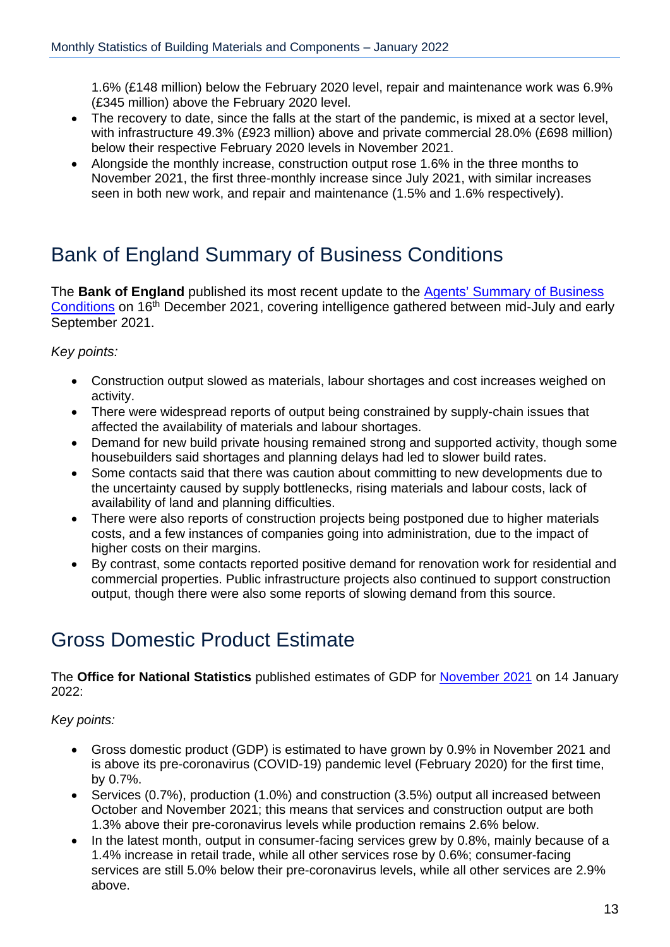1.6% (£148 million) below the February 2020 level, repair and maintenance work was 6.9% (£345 million) above the February 2020 level.

- The recovery to date, since the falls at the start of the pandemic, is mixed at a sector level, with infrastructure 49.3% (£923 million) above and private commercial 28.0% (£698 million) below their respective February 2020 levels in November 2021.
- Alongside the monthly increase, construction output rose 1.6% in the three months to November 2021, the first three-monthly increase since July 2021, with similar increases seen in both new work, and repair and maintenance (1.5% and 1.6% respectively).

### <span id="page-12-0"></span>Bank of England Summary of Business Conditions

The **Bank of England** published its most recent update to the Agents' [Summary of](https://www.bankofengland.co.uk/agents-summary/2021/2021-q4) Business [Conditions](https://www.bankofengland.co.uk/agents-summary/2021/2021-q4) on 16<sup>th</sup> December 2021, covering intelligence gathered between mid-July and early September 2021.

*Key points:*

- Construction output slowed as materials, labour shortages and cost increases weighed on activity.
- There were widespread reports of output being constrained by supply-chain issues that affected the availability of materials and labour shortages.
- Demand for new build private housing remained strong and supported activity, though some housebuilders said shortages and planning delays had led to slower build rates.
- Some contacts said that there was caution about committing to new developments due to the uncertainty caused by supply bottlenecks, rising materials and labour costs, lack of availability of land and planning difficulties.
- There were also reports of construction projects being postponed due to higher materials costs, and a few instances of companies going into administration, due to the impact of higher costs on their margins.
- By contrast, some contacts reported positive demand for renovation work for residential and commercial properties. Public infrastructure projects also continued to support construction output, though there were also some reports of slowing demand from this source.

### <span id="page-12-1"></span>Gross Domestic Product Estimate

The **Office for National Statistics** published estimates of GDP for [November 2021](https://www.ons.gov.uk/economy/grossdomesticproductgdp/bulletins/gdpmonthlyestimateuk/november2021) on 14 January 2022:

*Key points:*

- Gross domestic product (GDP) is estimated to have grown by 0.9% in November 2021 and is above its pre-coronavirus (COVID-19) pandemic level (February 2020) for the first time, by 0.7%.
- Services (0.7%), production (1.0%) and construction (3.5%) output all increased between October and November 2021; this means that services and construction output are both 1.3% above their pre-coronavirus levels while production remains 2.6% below.
- In the latest month, output in consumer-facing services grew by 0.8%, mainly because of a 1.4% increase in retail trade, while all other services rose by 0.6%; consumer-facing services are still 5.0% below their pre-coronavirus levels, while all other services are 2.9% above.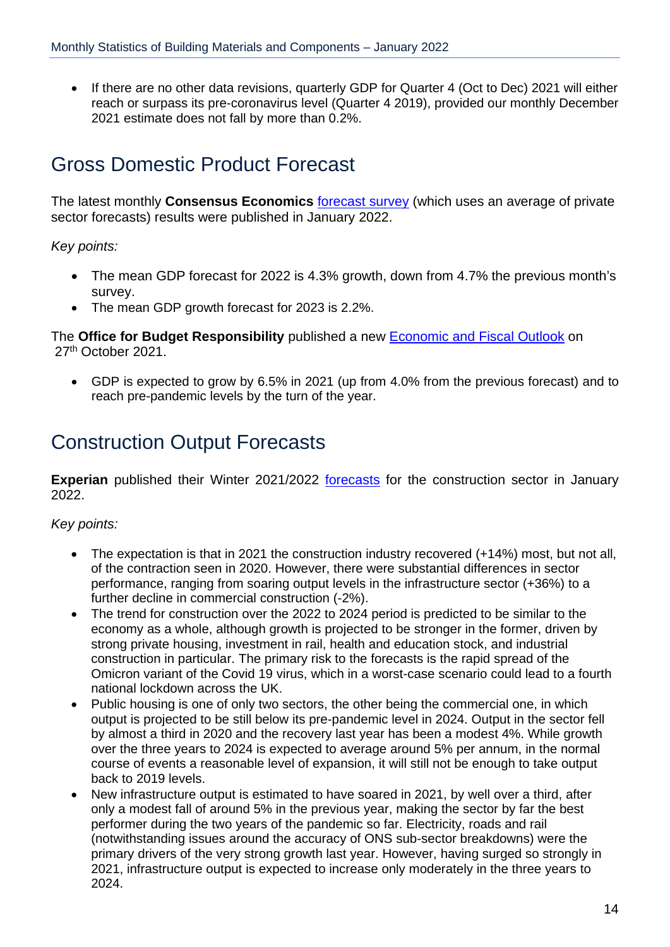• If there are no other data revisions, quarterly GDP for Quarter 4 (Oct to Dec) 2021 will either reach or surpass its pre-coronavirus level (Quarter 4 2019), provided our monthly December 2021 estimate does not fall by more than 0.2%.

### <span id="page-13-0"></span>Gross Domestic Product Forecast

The latest monthly **Consensus Economics** [forecast](http://www.consensuseconomics.com/download/G7_Economic_Forecasts.htm) survey (which uses an average of private sector forecasts) results were published in January 2022.

#### *Key points:*

- The mean GDP forecast for 2022 is 4.3% growth, down from 4.7% the previous month's survey.
- The mean GDP growth forecast for 2023 is 2.2%.

The **Office for Budget Responsibility** published a new [Economic and](https://obr.uk/efo/economic-and-fiscal-outlook-october-2021/) Fiscal Outlook on 27<sup>th</sup> October 2021.

 GDP is expected to grow by 6.5% in 2021 (up from 4.0% from the previous forecast) and to reach pre-pandemic levels by the turn of the year.

### <span id="page-13-1"></span>Construction Output Forecasts

**Experian** published their Winter 2021/2022 [forecasts](http://www.experian.co.uk/economics/economic-forecasts/uk-construction-forecast.html) for the construction sector in January 2022.

#### *Key points:*

- The expectation is that in 2021 the construction industry recovered (+14%) most, but not all, of the contraction seen in 2020. However, there were substantial differences in sector performance, ranging from soaring output levels in the infrastructure sector (+36%) to a further decline in commercial construction (-2%).
- The trend for construction over the 2022 to 2024 period is predicted to be similar to the economy as a whole, although growth is projected to be stronger in the former, driven by strong private housing, investment in rail, health and education stock, and industrial construction in particular. The primary risk to the forecasts is the rapid spread of the Omicron variant of the Covid 19 virus, which in a worst-case scenario could lead to a fourth national lockdown across the UK.
- Public housing is one of only two sectors, the other being the commercial one, in which output is projected to be still below its pre-pandemic level in 2024. Output in the sector fell by almost a third in 2020 and the recovery last year has been a modest 4%. While growth over the three years to 2024 is expected to average around 5% per annum, in the normal course of events a reasonable level of expansion, it will still not be enough to take output back to 2019 levels.
- New infrastructure output is estimated to have soared in 2021, by well over a third, after only a modest fall of around 5% in the previous year, making the sector by far the best performer during the two years of the pandemic so far. Electricity, roads and rail (notwithstanding issues around the accuracy of ONS sub-sector breakdowns) were the primary drivers of the very strong growth last year. However, having surged so strongly in 2021, infrastructure output is expected to increase only moderately in the three years to 2024.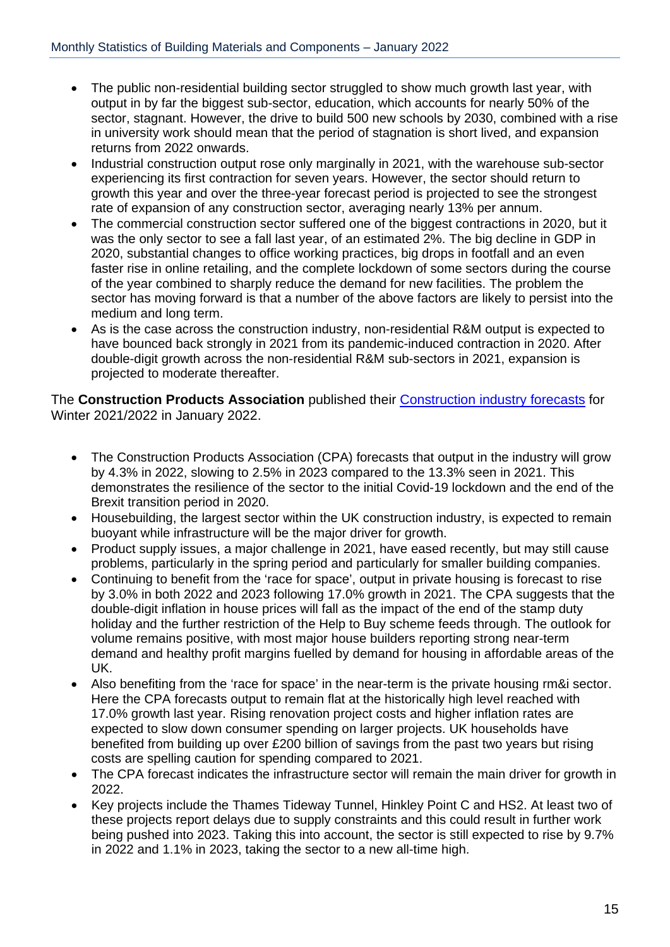- The public non-residential building sector struggled to show much growth last year, with output in by far the biggest sub-sector, education, which accounts for nearly 50% of the sector, stagnant. However, the drive to build 500 new schools by 2030, combined with a rise in university work should mean that the period of stagnation is short lived, and expansion returns from 2022 onwards.
- Industrial construction output rose only marginally in 2021, with the warehouse sub-sector experiencing its first contraction for seven years. However, the sector should return to growth this year and over the three-year forecast period is projected to see the strongest rate of expansion of any construction sector, averaging nearly 13% per annum.
- The commercial construction sector suffered one of the biggest contractions in 2020, but it was the only sector to see a fall last year, of an estimated 2%. The big decline in GDP in 2020, substantial changes to office working practices, big drops in footfall and an even faster rise in online retailing, and the complete lockdown of some sectors during the course of the year combined to sharply reduce the demand for new facilities. The problem the sector has moving forward is that a number of the above factors are likely to persist into the medium and long term.
- As is the case across the construction industry, non-residential R&M output is expected to have bounced back strongly in 2021 from its pandemic-induced contraction in 2020. After double-digit growth across the non-residential R&M sub-sectors in 2021, expansion is projected to moderate thereafter.

The **Construction Products Association** published their Construction [industry forecasts](https://www.constructionproducts.org.uk/publications/economics/) for Winter 2021/2022 in January 2022.

- The Construction Products Association (CPA) forecasts that output in the industry will grow by 4.3% in 2022, slowing to 2.5% in 2023 compared to the 13.3% seen in 2021. This demonstrates the resilience of the sector to the initial Covid-19 lockdown and the end of the Brexit transition period in 2020.
- Housebuilding, the largest sector within the UK construction industry, is expected to remain buoyant while infrastructure will be the major driver for growth.
- Product supply issues, a major challenge in 2021, have eased recently, but may still cause problems, particularly in the spring period and particularly for smaller building companies.
- Continuing to benefit from the 'race for space', output in private housing is forecast to rise by 3.0% in both 2022 and 2023 following 17.0% growth in 2021. The CPA suggests that the double-digit inflation in house prices will fall as the impact of the end of the stamp duty holiday and the further restriction of the Help to Buy scheme feeds through. The outlook for volume remains positive, with most major house builders reporting strong near-term demand and healthy profit margins fuelled by demand for housing in affordable areas of the UK.
- Also benefiting from the 'race for space' in the near-term is the private housing rm&i sector. Here the CPA forecasts output to remain flat at the historically high level reached with 17.0% growth last year. Rising renovation project costs and higher inflation rates are expected to slow down consumer spending on larger projects. UK households have benefited from building up over £200 billion of savings from the past two years but rising costs are spelling caution for spending compared to 2021.
- The CPA forecast indicates the infrastructure sector will remain the main driver for growth in 2022.
- Key projects include the Thames Tideway Tunnel, Hinkley Point C and HS2. At least two of these projects report delays due to supply constraints and this could result in further work being pushed into 2023. Taking this into account, the sector is still expected to rise by 9.7% in 2022 and 1.1% in 2023, taking the sector to a new all-time high.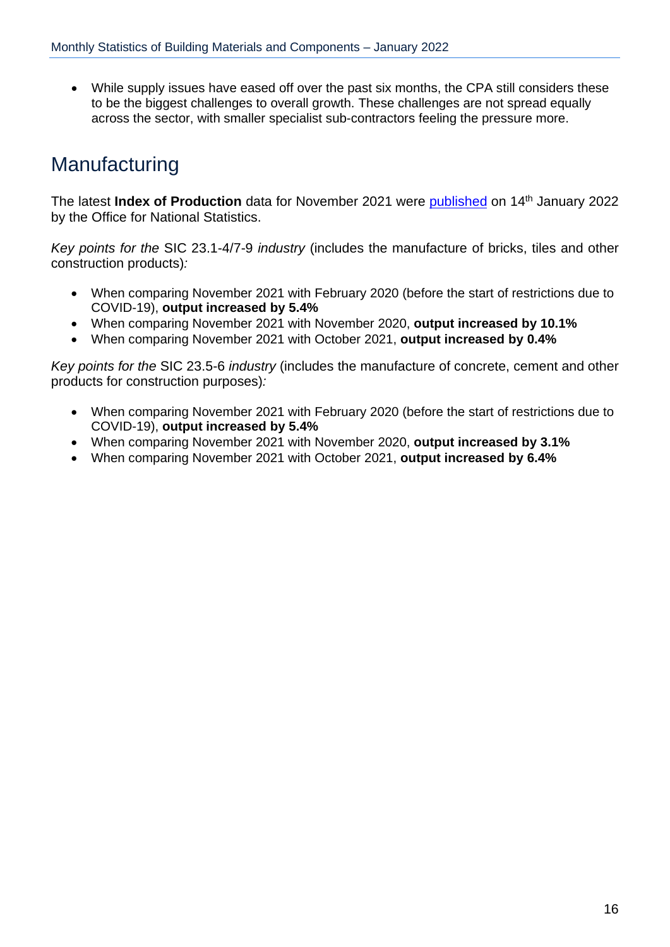While supply issues have eased off over the past six months, the CPA still considers these to be the biggest challenges to overall growth. These challenges are not spread equally across the sector, with smaller specialist sub-contractors feeling the pressure more.

### <span id="page-15-0"></span>**Manufacturing**

The latest **Index of Production** data for November 2021 were [published](https://www.ons.gov.uk/economy/economicoutputandproductivity/output/bulletins/indexofproduction/November2021/relateddata) on 14th January 2022 by the Office for National Statistics.

*Key points for the* SIC 23.1-4/7-9 *industry* (includes the manufacture of bricks, tiles and other construction products)*:*

- When comparing November 2021 with February 2020 (before the start of restrictions due to COVID-19), **output increased by 5.4%**
- When comparing November 2021 with November 2020, **output increased by 10.1%**
- When comparing November 2021 with October 2021, **output increased by 0.4%**

*Key points for the* SIC 23.5-6 *industry* (includes the manufacture of concrete, cement and other products for construction purposes)*:*

- When comparing November 2021 with February 2020 (before the start of restrictions due to COVID-19), **output increased by 5.4%**
- When comparing November 2021 with November 2020, **output increased by 3.1%**
- When comparing November 2021 with October 2021, **output increased by 6.4%**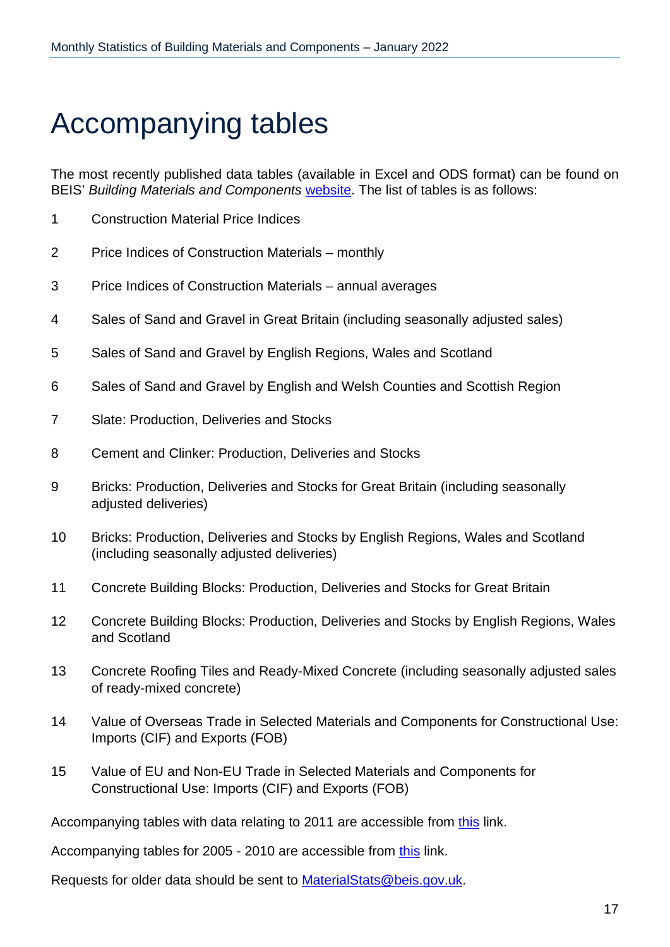## <span id="page-16-0"></span>Accompanying tables

The most recently published data tables (available in Excel and ODS format) can be found on BEIS' *Building Materials and Components* [website.](https://www.gov.uk/government/organisations/department-for-business-innovation-skills/series/building-materials-and-components-monthly-statistics-2012) The list of tables is as follows:

- 1 Construction Material Price Indices
- 2 Price Indices of Construction Materials monthly
- 3 Price Indices of Construction Materials annual averages
- 4 Sales of Sand and Gravel in Great Britain (including seasonally adjusted sales)
- 5 Sales of Sand and Gravel by English Regions, Wales and Scotland
- 6 Sales of Sand and Gravel by English and Welsh Counties and Scottish Region
- 7 Slate: Production, Deliveries and Stocks
- 8 Cement and Clinker: Production, Deliveries and Stocks
- 9 Bricks: Production, Deliveries and Stocks for Great Britain (including seasonally adjusted deliveries)
- 10 Bricks: Production, Deliveries and Stocks by English Regions, Wales and Scotland (including seasonally adjusted deliveries)
- 11 Concrete Building Blocks: Production, Deliveries and Stocks for Great Britain
- 12 Concrete Building Blocks: Production, Deliveries and Stocks by English Regions, Wales and Scotland
- 13 Concrete Roofing Tiles and Ready-Mixed Concrete (including seasonally adjusted sales of ready-mixed concrete)
- 14 Value of Overseas Trade in Selected Materials and Components for Constructional Use: Imports (CIF) and Exports (FOB)
- 15 Value of EU and Non-EU Trade in Selected Materials and Components for Constructional Use: Imports (CIF) and Exports (FOB)

Accompanying tables with data relating to 2011 are accessible from [this](https://webarchive.nationalarchives.gov.uk/20120717004736/http:/www.bis.gov.uk/analysis/statistics/construction-statistics/building-materials/building-materials-2011-archive) link.

Accompanying tables for 2005 - 2010 are accessible from [this](http://webarchive.nationalarchives.gov.uk/20110920151722/http:/stats.bis.gov.uk/construction/building/archive.htm) link.

Requests for older data should be sent to [MaterialStats@beis.gov.uk.](mailto:MaterialStats@beis.gov.uk)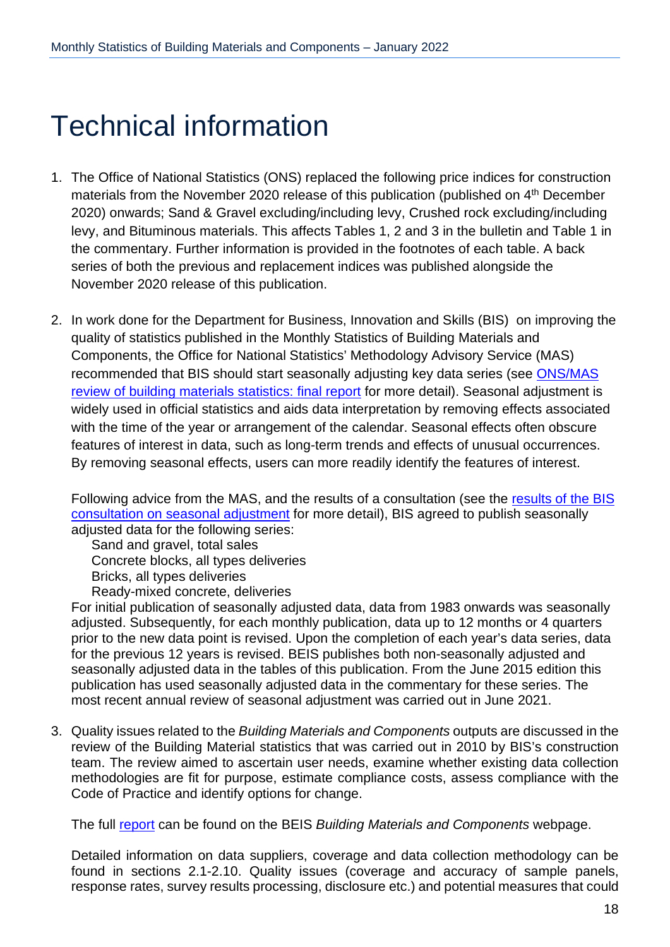## <span id="page-17-0"></span>Technical information

- 1. The Office of National Statistics (ONS) replaced the following price indices for construction materials from the November 2020 release of this publication (published on 4<sup>th</sup> December 2020) onwards; Sand & Gravel excluding/including levy, Crushed rock excluding/including levy, and Bituminous materials. This affects Tables 1, 2 and 3 in the bulletin and Table 1 in the commentary. Further information is provided in the footnotes of each table. A back series of both the previous and replacement indices was published alongside the November 2020 release of this publication.
- 2. In work done for the Department for Business, Innovation and Skills (BIS) on improving the quality of statistics published in the Monthly Statistics of Building Materials and Components, the Office for National Statistics' Methodology Advisory Service (MAS) recommended that BIS should start seasonally adjusting key data series (see [ONS/MAS](https://www.gov.uk/government/publications/ons-mas-review-of-building-materials-statistics) [review of building materials statistics: final report](https://www.gov.uk/government/publications/ons-mas-review-of-building-materials-statistics) for more detail). Seasonal adjustment is widely used in official statistics and aids data interpretation by removing effects associated with the time of the year or arrangement of the calendar. Seasonal effects often obscure features of interest in data, such as long-term trends and effects of unusual occurrences. By removing seasonal effects, users can more readily identify the features of interest.

Following advice from the MAS, and the [results of](https://www.gov.uk/government/consultations/building-materials-and-components-monthly-statistics-seasonal-data-adjustment) a consultation (see the results of the BIS [consultation on seasonal adjustment](https://www.gov.uk/government/consultations/building-materials-and-components-monthly-statistics-seasonal-data-adjustment) for more detail), BIS agreed to publish seasonally adjusted data for the following series:

Sand and gravel, total sales Concrete blocks, all types deliveries Bricks, all types deliveries Ready-mixed concrete, deliveries

For initial publication of seasonally adjusted data, data from 1983 onwards was seasonally adjusted. Subsequently, for each monthly publication, data up to 12 months or 4 quarters prior to the new data point is revised. Upon the completion of each year's data series, data for the previous 12 years is revised. BEIS publishes both non-seasonally adjusted and seasonally adjusted data in the tables of this publication. From the June 2015 edition this publication has used seasonally adjusted data in the commentary for these series. The most recent annual review of seasonal adjustment was carried out in June 2021.

3. Quality issues related to the *Building Materials and Components* outputs are discussed in the review of the Building Material statistics that was carried out in 2010 by BIS's construction team. The review aimed to ascertain user needs, examine whether existing data collection methodologies are fit for purpose, estimate compliance costs, assess compliance with the Code of Practice and identify options for change.

The full [report](https://www.gov.uk/government/publications/building-materials-statistics-review-final-report) can be found on the BEIS *Building Materials and Components* webpage.

Detailed information on data suppliers, coverage and data collection methodology can be found in sections 2.1-2.10. Quality issues (coverage and accuracy of sample panels, response rates, survey results processing, disclosure etc.) and potential measures that could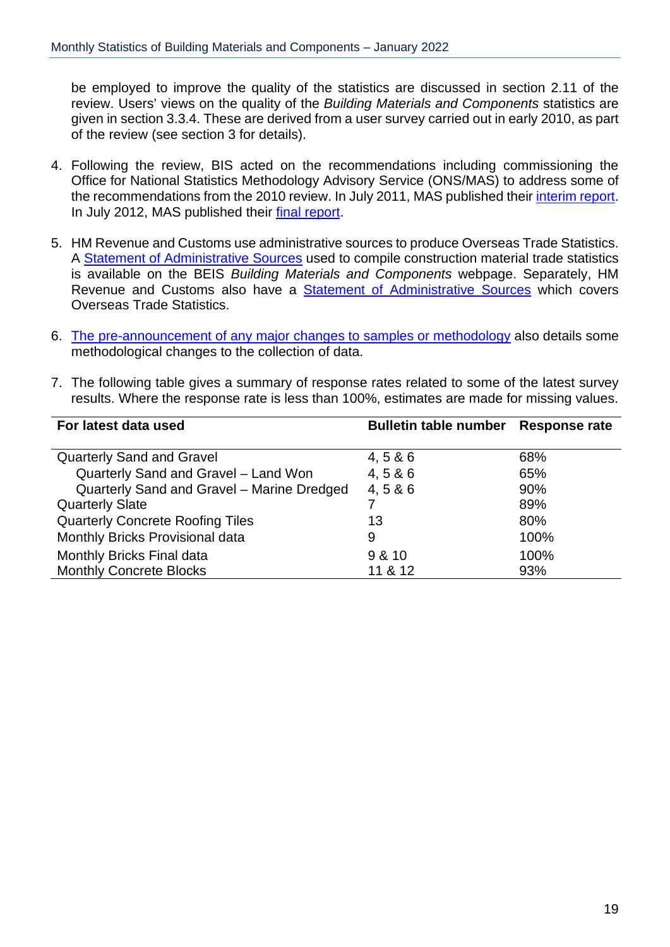be employed to improve the quality of the statistics are discussed in section 2.11 of the review. Users' views on the quality of the *Building Materials and Components* statistics are given in section 3.3.4. These are derived from a user survey carried out in early 2010, as part of the review (see section 3 for details).

- 4. Following the review, BIS acted on the recommendations including commissioning the Office for National Statistics Methodology Advisory Service (ONS/MAS) to address some of the recommendations from the 2010 review. In July 2011, MAS published their [interim](https://www.gov.uk/government/publications/ons-mas-review-of-building-materials-statistics) report. In July 2012, MAS published their final [report.](https://www.gov.uk/government/publications/ons-mas-review-of-building-materials-statistics)
- 5. HM Revenue and Customs use administrative sources to produce Overseas Trade Statistics. A [Statement of Administrative Sources](https://www.gov.uk/government/publications/building-materials-statistics-administrative-sources) used to compile construction material trade statistics is available on the BEIS *Building Materials and Components* webpage. Separately, HM Revenue and Customs also have a [Statement of Administrative Sources](http://www.hmrc.gov.uk/statistics/code-of-practice/cop-admin-sources.xls) which covers Overseas Trade Statistics.
- 6. The [pre-announcement](https://www.gov.uk/government/publications/amendments-to-building-materials-and-components-monthly-statistics) of any major changes to samples or methodology also details some methodological changes to the collection of data.
- 7. The following table gives a summary of response rates related to some of the latest survey results. Where the response rate is less than 100%, estimates are made for missing values.

| For latest data used                       | Bulletin table number Response rate |      |
|--------------------------------------------|-------------------------------------|------|
|                                            |                                     |      |
| <b>Quarterly Sand and Gravel</b>           | 4, 5 & 6                            | 68%  |
| Quarterly Sand and Gravel - Land Won       | 4, 586                              | 65%  |
| Quarterly Sand and Gravel - Marine Dredged | 4, 586                              | 90%  |
| <b>Quarterly Slate</b>                     |                                     | 89%  |
| <b>Quarterly Concrete Roofing Tiles</b>    | 13                                  | 80%  |
| Monthly Bricks Provisional data            | 9                                   | 100% |
| Monthly Bricks Final data                  | 9 & 10                              | 100% |
| <b>Monthly Concrete Blocks</b>             | 11 & 12                             | 93%  |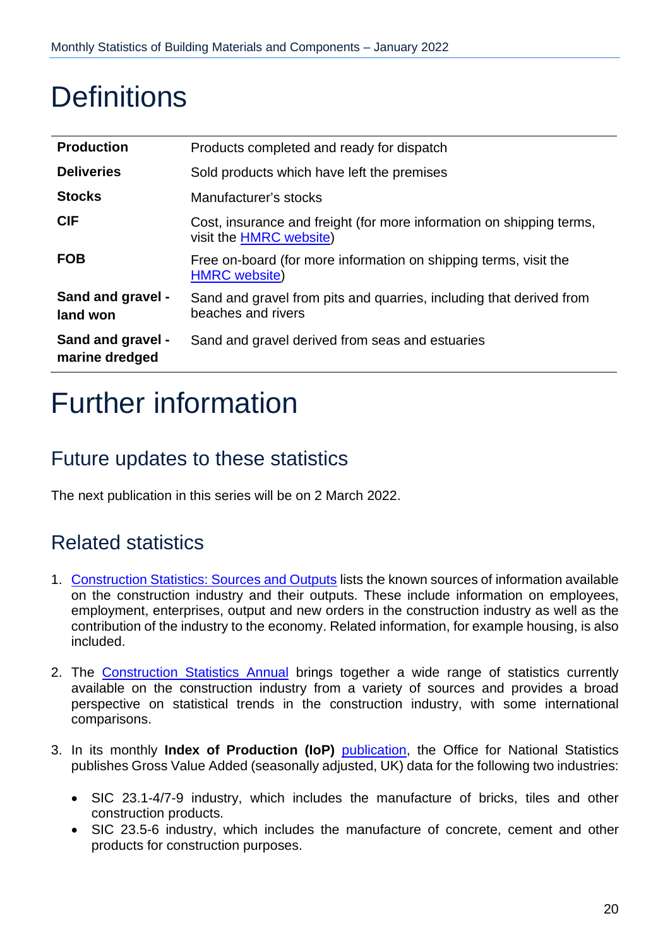## <span id="page-19-0"></span>**Definitions**

| <b>Production</b>                          | Products completed and ready for dispatch                                                       |
|--------------------------------------------|-------------------------------------------------------------------------------------------------|
| <b>Deliveries</b>                          | Sold products which have left the premises                                                      |
| <b>Stocks</b>                              | Manufacturer's stocks                                                                           |
| <b>CIF</b>                                 | Cost, insurance and freight (for more information on shipping terms,<br>visit the HMRC website) |
| <b>FOB</b>                                 | Free on-board (for more information on shipping terms, visit the<br><b>HMRC</b> website)        |
| <b>Sand and gravel -</b><br>land won       | Sand and gravel from pits and quarries, including that derived from<br>beaches and rivers       |
| <b>Sand and gravel -</b><br>marine dredged | Sand and gravel derived from seas and estuaries                                                 |

## <span id="page-19-1"></span>Further information

### <span id="page-19-2"></span>Future updates to these statistics

The next publication in this series will be on 2 March 2022.

### <span id="page-19-3"></span>Related statistics

- 1. [Construction](http://www.ons.gov.uk/ons/rel/construction/construction-statistics/construction-statistics--sources-and-outputs/construction-stats--sources-and-outputs.pdf) Statistics: Sources and Outputs lists the known sources of information available on the construction industry and their outputs. These include information on employees, employment, enterprises, output and new orders in the construction industry as well as the contribution of the industry to the economy. Related information, for example housing, is also included.
- 2. The Construction [Statistics Annual](http://www.ons.gov.uk/ons/publications/all-releases.html?definition=tcm%3A77-21528) brings together a wide range of statistics currently available on the construction industry from a variety of sources and provides a broad perspective on statistical trends in the construction industry, with some international comparisons.
- 3. In its monthly **Index of Production (IoP)** [publication,](http://www.ons.gov.uk/ons/rel/iop/index-of-production/index.html) the Office for National Statistics publishes Gross Value Added (seasonally adjusted, UK) data for the following two industries:
	- SIC 23.1-4/7-9 industry, which includes the manufacture of bricks, tiles and other construction products.
	- SIC 23.5-6 industry, which includes the manufacture of concrete, cement and other products for construction purposes.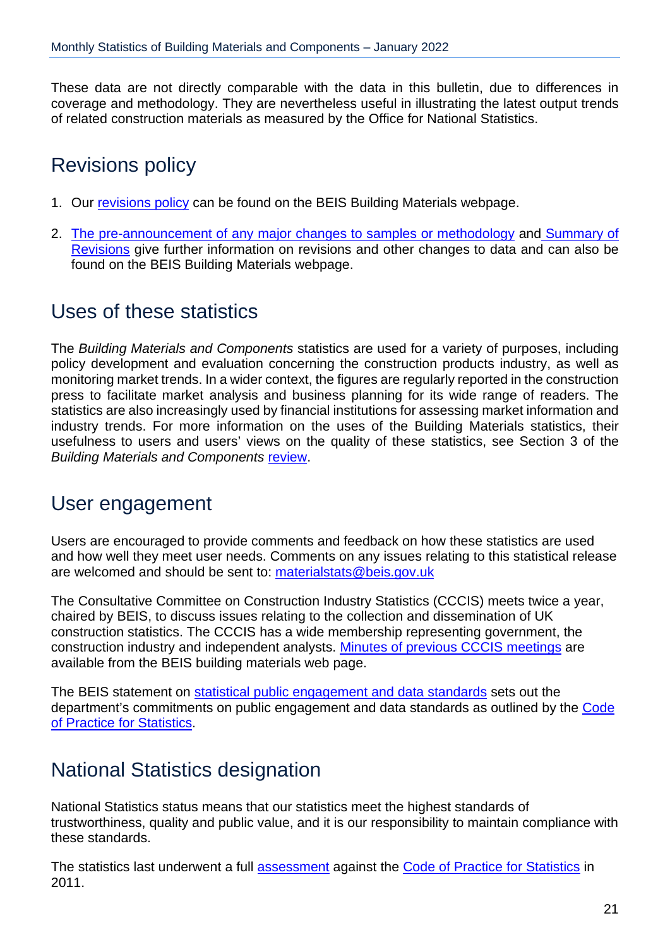These data are not directly comparable with the data in this bulletin, due to differences in coverage and methodology. They are nevertheless useful in illustrating the latest output trends of related construction materials as measured by the Office for National Statistics.

### <span id="page-20-0"></span>Revisions policy

- 1. Our [revisions policy](https://www.gov.uk/government/publications/building-materials-statistics-revisions-policy) can be found on the BEIS Building Materials webpage.
- 2. [The pre-announcement of any major changes to samples or methodology](https://www.gov.uk/government/publications/amendments-to-building-materials-and-components-monthly-statistics) and [Summary of](https://www.gov.uk/government/publications/revisions-to-building-materials-statistics-since-december-2011-summary)  [Revisions](https://www.gov.uk/government/publications/revisions-to-building-materials-statistics-since-december-2011-summary) give further information on revisions and other changes to data and can also be found on the BEIS Building Materials webpage.

### <span id="page-20-1"></span>Uses of these statistics

The *Building Materials and Components* statistics are used for a variety of purposes, including policy development and evaluation concerning the construction products industry, as well as monitoring market trends. In a wider context, the figures are regularly reported in the construction press to facilitate market analysis and business planning for its wide range of readers. The statistics are also increasingly used by financial institutions for assessing market information and industry trends. For more information on the uses of the Building Materials statistics, their usefulness to users and users' views on the quality of these statistics, see Section 3 of the *Building Materials and Components* [review.](https://www.gov.uk/government/publications/building-materials-statistics-review-final-report)

### <span id="page-20-2"></span>User engagement

Users are encouraged to provide comments and feedback on how these statistics are used and how well they meet user needs. Comments on any issues relating to this statistical release are welcomed and should be sent to: [materialstats@beis.gov.uk](mailto:materialstats@beis.gov.uk)

The Consultative Committee on Construction Industry Statistics (CCCIS) meets twice a year, chaired by BEIS, to discuss issues relating to the collection and dissemination of UK construction statistics. The CCCIS has a wide membership representing government, the construction industry and independent analysts. [Minutes of previous CCCIS meetings](https://www.gov.uk/government/publications/cccis) are available from the BEIS building materials web page.

The BEIS statement on statistical [public engagement](https://www.gov.uk/government/publications/beis-standards-for-official-statistics/statistical-public-engagement-and-data-standards) and data standards sets out the department's commitments on public engagement and data standards as outlined by the Code of Practice for [Statistics.](https://www.statisticsauthority.gov.uk/code-of-practice/)

### <span id="page-20-3"></span>National Statistics designation

National Statistics status means that our statistics meet the highest standards of trustworthiness, quality and public value, and it is our responsibility to maintain compliance with these standards.

The statistics last underwent a full [assessment](https://osr.statisticsauthority.gov.uk/publication/statistics-on-building-materials-and-components/) against the Code of Practice for [Statistics](https://www.statisticsauthority.gov.uk/code-of-practice/) in 2011.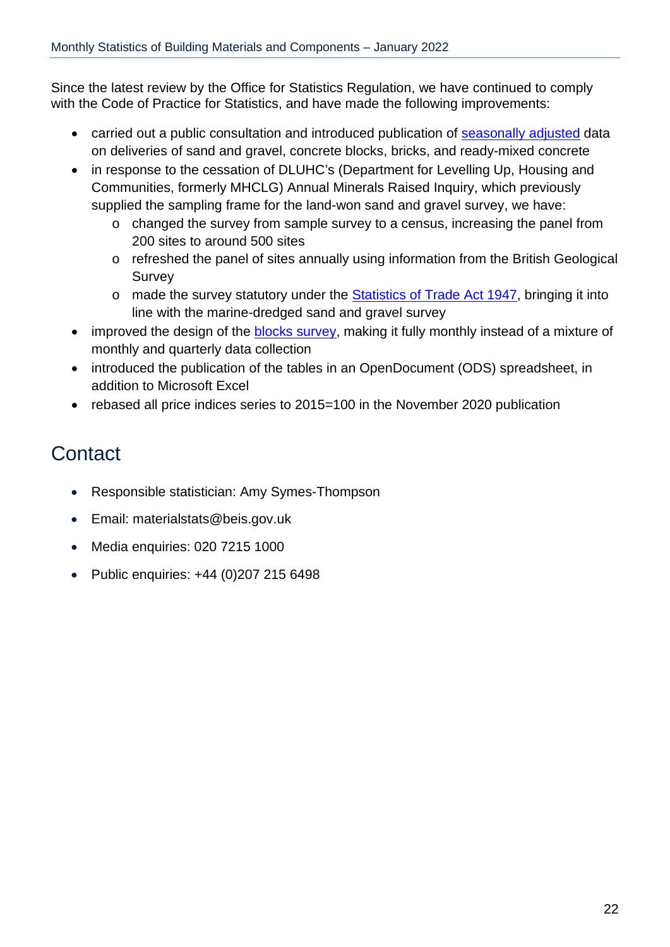Since the latest review by the Office for Statistics Regulation, we have continued to comply with the Code of Practice for Statistics, and have made the following improvements:

- carried out a public consultation and introduced publication of [seasonally adjusted](https://www.gov.uk/government/consultations/building-materials-and-components-monthly-statistics-seasonal-data-adjustment) data on deliveries of sand and gravel, concrete blocks, bricks, and ready-mixed concrete
- in response to the cessation of DLUHC's (Department for Levelling Up, Housing and Communities, formerly MHCLG) Annual Minerals Raised Inquiry, which previously supplied the sampling frame for the land-won sand and gravel survey, we have:
	- o changed the survey from sample survey to a census, increasing the panel from 200 sites to around 500 sites
	- o refreshed the panel of sites annually using information from the British Geological Survey
	- o made the survey statutory under the [Statistics](http://www.legislation.gov.uk/ukpga/Geo6/10-11/39/contents) of Trade Act 1947, bringing it into line with the marine-dredged sand and gravel survey
- improved the design of the **blocks survey**, making it fully monthly instead of a mixture of monthly and quarterly data collection
- introduced the publication of the tables in an OpenDocument (ODS) spreadsheet, in addition to Microsoft Excel
- rebased all price indices series to 2015=100 in the November 2020 publication

## <span id="page-21-0"></span>**Contact**

- Responsible statistician: Amy Symes-Thompson
- Email: materialstats@beis.gov.uk
- Media enquiries: 020 7215 1000
- Public enquiries: +44 (0) 207 215 6498